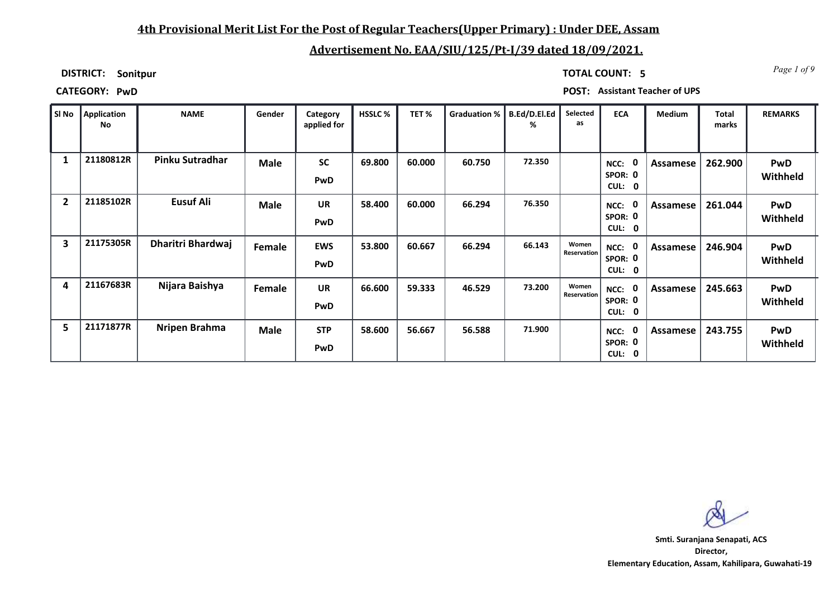### **4th Provisional Merit List For the Post of Regular Teachers(Upper Primary) : Under DEE, Assam**

# **Advertisement No. EAA/SIU/125/Pt-I/39 dated 18/09/2021.**

**DISTRICT: Sonitpur**

*Page 1 of 9* **TOTAL COUNT: 5**

**CATEGORY: PwD POST: Assistant Teacher of UPS**

|                | SI No Application<br>No | <b>NAME</b>              | Gender        | Category<br>applied for | <b>HSSLC %</b> | TET%   | <b>Graduation %</b> | B.Ed/D.El.Ed<br>℅ | Selected<br>as       | <b>ECA</b>                                  | <b>Medium</b> | <b>Total</b><br>marks | <b>REMARKS</b>         |
|----------------|-------------------------|--------------------------|---------------|-------------------------|----------------|--------|---------------------|-------------------|----------------------|---------------------------------------------|---------------|-----------------------|------------------------|
|                | 21180812R               | Pinku Sutradhar          | <b>Male</b>   | <b>SC</b><br>PwD        | 69.800         | 60.000 | 60.750              | 72.350            |                      | 0<br>NCC:<br>SPOR: 0<br>CUL:<br>$\mathbf 0$ | Assamese      | 262.900               | PwD<br>Withheld        |
| $\overline{2}$ | 21185102R               | Eusuf Ali                | <b>Male</b>   | <b>UR</b><br>PwD        | 58.400         | 60.000 | 66.294              | 76.350            |                      | $\mathbf{0}$<br>NCC:<br>SPOR: 0<br>CUL: 0   | Assamese      | 261.044               | PwD<br>Withheld        |
| 3              | 21175305R               | <b>Dharitri Bhardwaj</b> | <b>Female</b> | <b>EWS</b><br>PwD       | 53.800         | 60.667 | 66.294              | 66.143            | Women<br>Reservation | 0<br>NCC:<br>SPOR: 0<br><b>CUL:</b><br>0    | Assamese      | 246.904               | PwD<br>Withheld        |
| 4              | 21167683R               | Nijara Baishya           | Female        | <b>UR</b><br>PwD        | 66.600         | 59.333 | 46.529              | 73.200            | Women<br>Reservation | $\mathbf 0$<br>NCC:<br>SPOR: 0<br>CUL:<br>0 | Assamese      | 245.663               | PwD<br>Withheld        |
| 5              | 21171877R               | Nripen Brahma            | <b>Male</b>   | <b>STP</b><br>PwD       | 58.600         | 56.667 | 56.588              | 71.900            |                      | 0<br>NCC:<br>SPOR: 0<br>CUL: 0              | Assamese      | 243.755               | <b>PwD</b><br>Withheld |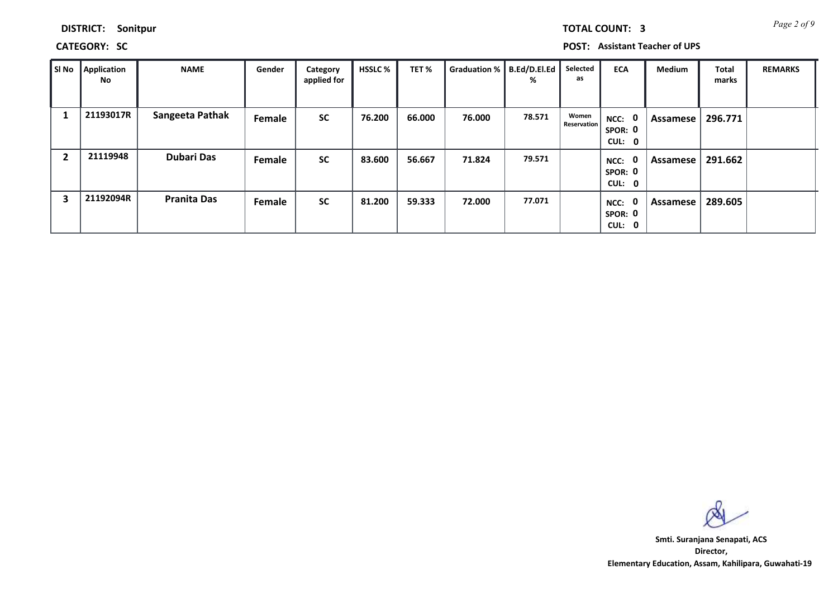| DISTRICT: | Sonitpur |
|-----------|----------|
|-----------|----------|

**CATEGORY: SC POST: Assistant Teacher of UPS**

| SI No | Application<br>No | <b>NAME</b>        | Gender | Category<br>applied for | <b>HSSLC %</b> | TET%   | Graduation %   B.Ed/D.El.Ed | %      | Selected<br>as              | <b>ECA</b>                               | <b>Medium</b> | <b>Total</b><br>marks | <b>REMARKS</b> |
|-------|-------------------|--------------------|--------|-------------------------|----------------|--------|-----------------------------|--------|-----------------------------|------------------------------------------|---------------|-----------------------|----------------|
|       | 21193017R         | Sangeeta Pathak    | Female | <b>SC</b>               | 76.200         | 66.000 | 76.000                      | 78.571 | Women<br><b>Reservation</b> | 0<br>NCC:<br>SPOR: 0<br>CUL: 0           | Assamese      | 296.771               |                |
| 2     | 21119948          | <b>Dubari Das</b>  | Female | <b>SC</b>               | 83.600         | 56.667 | 71.824                      | 79.571 |                             | $\mathbf 0$<br>NCC:<br>SPOR: 0<br>CUL: 0 | Assamese      | 291.662               |                |
| 3     | 21192094R         | <b>Pranita Das</b> | Female | <b>SC</b>               | 81.200         | 59.333 | 72.000                      | 77.071 |                             | $\mathbf 0$<br>NCC:<br>SPOR: 0<br>CUL: 0 | Assamese      | 289.605               |                |

**Director, Elementary Education, Assam, Kahilipara, Guwahati-19 Smti. Suranjana Senapati, ACS**

*Page 2 of 9* **TOTAL COUNT: 3**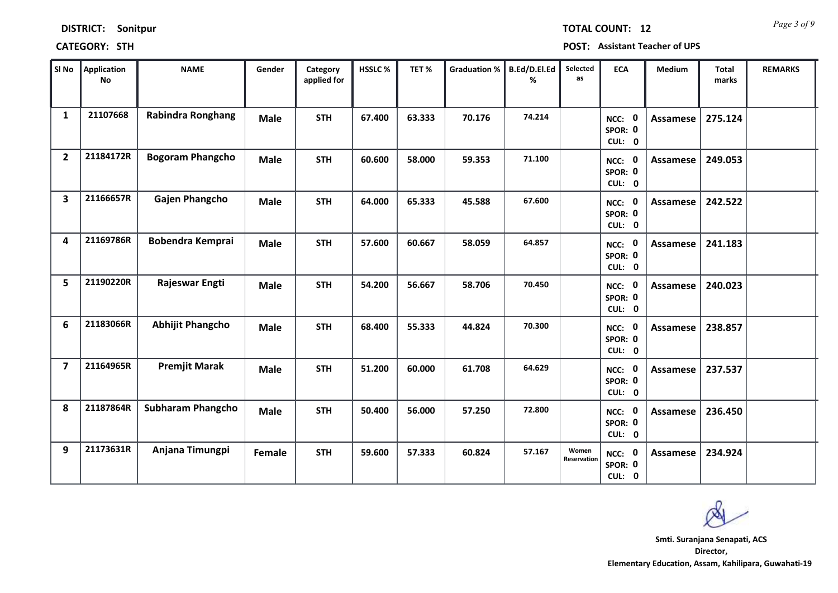| SI No                   | <b>Application</b><br><b>No</b> | <b>NAME</b>              | Gender      | Category<br>applied for | HSSLC% | TET%   | <b>Graduation %</b> | B.Ed/D.El.Ed<br>% | Selected<br>as       | <b>ECA</b>                         | Medium          | <b>Total</b><br>marks | <b>REMARKS</b> |
|-------------------------|---------------------------------|--------------------------|-------------|-------------------------|--------|--------|---------------------|-------------------|----------------------|------------------------------------|-----------------|-----------------------|----------------|
| $\mathbf{1}$            | 21107668                        | <b>Rabindra Ronghang</b> | <b>Male</b> | <b>STH</b>              | 67.400 | 63.333 | 70.176              | 74.214            |                      | NCC: 0<br>SPOR: 0<br>CUL: 0        | <b>Assamese</b> | 275.124               |                |
| $\overline{2}$          | 21184172R                       | <b>Bogoram Phangcho</b>  | <b>Male</b> | <b>STH</b>              | 60.600 | 58.000 | 59.353              | 71.100            |                      | NCC: 0<br>SPOR: 0<br>CUL: 0        | Assamese        | 249.053               |                |
| $\overline{\mathbf{3}}$ | 21166657R                       | Gajen Phangcho           | <b>Male</b> | <b>STH</b>              | 64.000 | 65.333 | 45.588              | 67.600            |                      | NCC: 0<br>SPOR: 0<br>CUL: 0        | <b>Assamese</b> | 242.522               |                |
| 4                       | 21169786R                       | <b>Bobendra Kemprai</b>  | <b>Male</b> | <b>STH</b>              | 57.600 | 60.667 | 58.059              | 64.857            |                      | NCC: 0<br>SPOR: 0<br>CUL: 0        | <b>Assamese</b> | 241.183               |                |
| 5                       | 21190220R                       | Rajeswar Engti           | <b>Male</b> | <b>STH</b>              | 54.200 | 56.667 | 58.706              | 70.450            |                      | NCC: 0<br>SPOR: 0<br>CUL: 0        | Assamese        | 240.023               |                |
| 6                       | 21183066R                       | <b>Abhijit Phangcho</b>  | <b>Male</b> | <b>STH</b>              | 68.400 | 55.333 | 44.824              | 70.300            |                      | NCC: 0<br>SPOR: 0<br>CUL: 0        | <b>Assamese</b> | 238.857               |                |
| $\overline{7}$          | 21164965R                       | <b>Premjit Marak</b>     | <b>Male</b> | <b>STH</b>              | 51.200 | 60.000 | 61.708              | 64.629            |                      | NCC: 0<br>SPOR: 0<br>CUL: 0        | Assamese        | 237.537               |                |
| 8                       | 21187864R                       | <b>Subharam Phangcho</b> | <b>Male</b> | <b>STH</b>              | 50.400 | 56.000 | 57.250              | 72.800            |                      | <b>NCC: 0</b><br>SPOR: 0<br>CUL: 0 | <b>Assamese</b> | 236.450               |                |
| 9                       | 21173631R                       | Anjana Timungpi          | Female      | <b>STH</b>              | 59.600 | 57.333 | 60.824              | 57.167            | Women<br>Reservation | <b>NCC: 0</b><br>SPOR: 0<br>CUL: 0 | <b>Assamese</b> | 234.924               |                |

**CATEGORY: STH POST: Assistant Teacher of UPS**

## **DISTRICT: Sonitpur**

**Director, Elementary Education, Assam, Kahilipara, Guwahati-19 Smti. Suranjana Senapati, ACS**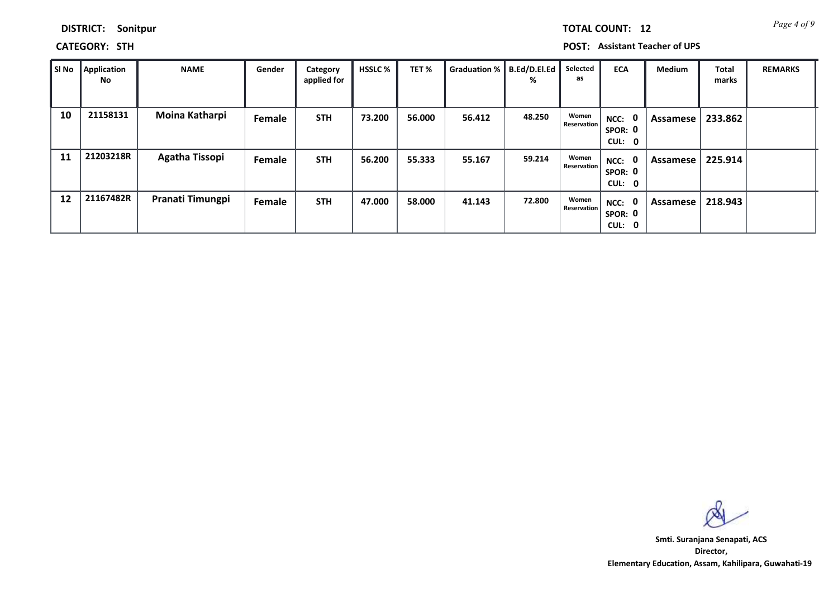| <b>DISTRICT:</b> | Sonitpur |
|------------------|----------|
|------------------|----------|

**CATEGORY: STH POST: Assistant Teacher of UPS**

| SI No | Application<br>No | <b>NAME</b>           | Gender | Category<br>applied for | <b>HSSLC %</b> | TET%   | Graduation %   B.Ed/D.El.Ed | %      | Selected<br>as       | <b>ECA</b>                     | <b>Medium</b> | Total<br>marks | <b>REMARKS</b> |
|-------|-------------------|-----------------------|--------|-------------------------|----------------|--------|-----------------------------|--------|----------------------|--------------------------------|---------------|----------------|----------------|
| 10    | 21158131          | Moina Katharpi        | Female | <b>STH</b>              | 73.200         | 56.000 | 56.412                      | 48.250 | Women<br>Reservation | NCC: 0<br>SPOR: 0<br>CUL:<br>0 | Assamese      | 233.862        |                |
| 11    | 21203218R         | <b>Agatha Tissopi</b> | Female | <b>STH</b>              | 56.200         | 55.333 | 55.167                      | 59.214 | Women<br>Reservation | NCC: 0<br>SPOR: 0<br>CUL: 0    | Assamese I    | 225.914        |                |
| 12    | 21167482R         | Pranati Timungpi      | Female | <b>STH</b>              | 47.000         | 58.000 | 41.143                      | 72.800 | Women<br>Reservation | NCC: 0<br>SPOR: 0<br>CUL:<br>0 | Assamese      | 218.943        |                |

**Director, Elementary Education, Assam, Kahilipara, Guwahati-19 Smti. Suranjana Senapati, ACS**

*Page 4 of 9* **TOTAL COUNT: 12**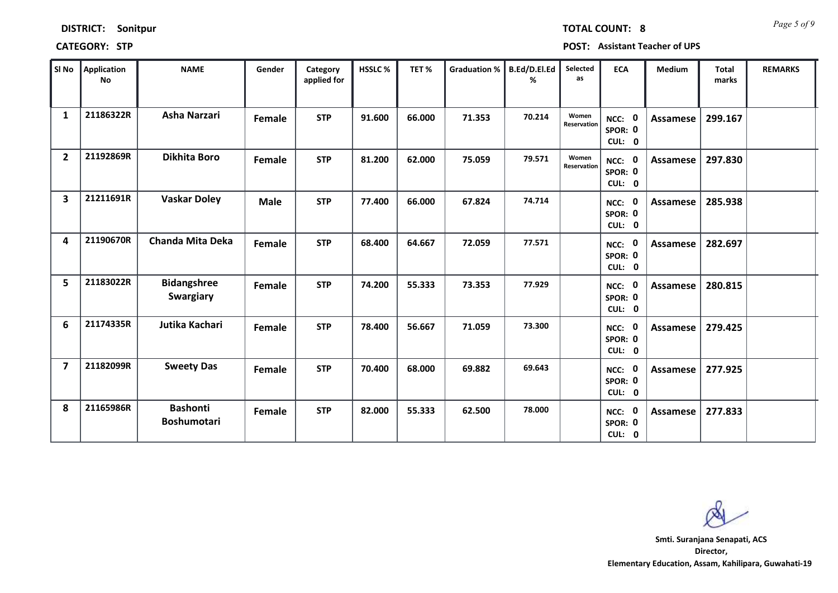| SI No                   | <b>Application</b><br>No | <b>NAME</b>                           | Gender      | Category<br>applied for | <b>HSSLC%</b> | TET%   | <b>Graduation %</b> | B.Ed/D.El.Ed<br>% | Selected<br>as       | <b>ECA</b>                  | <b>Medium</b>   | <b>Total</b><br>marks | <b>REMARKS</b> |
|-------------------------|--------------------------|---------------------------------------|-------------|-------------------------|---------------|--------|---------------------|-------------------|----------------------|-----------------------------|-----------------|-----------------------|----------------|
| $\mathbf{1}$            | 21186322R                | Asha Narzari                          | Female      | <b>STP</b>              | 91.600        | 66.000 | 71.353              | 70.214            | Women<br>Reservation | NCC: 0<br>SPOR: 0<br>CUL: 0 | Assamese        | 299.167               |                |
| $\overline{2}$          | 21192869R                | <b>Dikhita Boro</b>                   | Female      | <b>STP</b>              | 81.200        | 62.000 | 75.059              | 79.571            | Women<br>Reservation | NCC: 0<br>SPOR: 0<br>CUL: 0 | Assamese        | 297.830               |                |
| $\overline{\mathbf{3}}$ | 21211691R                | <b>Vaskar Doley</b>                   | <b>Male</b> | <b>STP</b>              | 77.400        | 66.000 | 67.824              | 74.714            |                      | NCC: 0<br>SPOR: 0<br>CUL: 0 | Assamese        | 285.938               |                |
| 4                       | 21190670R                | <b>Chanda Mita Deka</b>               | Female      | <b>STP</b>              | 68.400        | 64.667 | 72.059              | 77.571            |                      | NCC: 0<br>SPOR: 0<br>CUL: 0 | <b>Assamese</b> | 282.697               |                |
| 5                       | 21183022R                | <b>Bidangshree</b><br>Swargiary       | Female      | <b>STP</b>              | 74.200        | 55.333 | 73.353              | 77.929            |                      | NCC: 0<br>SPOR: 0<br>CUL: 0 | Assamese        | 280.815               |                |
| 6                       | 21174335R                | Jutika Kachari                        | Female      | <b>STP</b>              | 78.400        | 56.667 | 71.059              | 73.300            |                      | NCC: 0<br>SPOR: 0<br>CUL: 0 | Assamese        | 279.425               |                |
| $\overline{7}$          | 21182099R                | <b>Sweety Das</b>                     | Female      | <b>STP</b>              | 70.400        | 68.000 | 69.882              | 69.643            |                      | NCC: 0<br>SPOR: 0<br>CUL: 0 | Assamese        | 277.925               |                |
| 8                       | 21165986R                | <b>Bashonti</b><br><b>Boshumotari</b> | Female      | <b>STP</b>              | 82.000        | 55.333 | 62.500              | 78.000            |                      | NCC: 0<br>SPOR: 0<br>CUL: 0 | Assamese        | 277.833               |                |

**CATEGORY: STP POST: Assistant Teacher of UPS**

**Director, Elementary Education, Assam, Kahilipara, Guwahati-19 Smti. Suranjana Senapati, ACS**

*Page 5 of 9* **TOTAL COUNT: 8**

**DISTRICT: Sonitpur**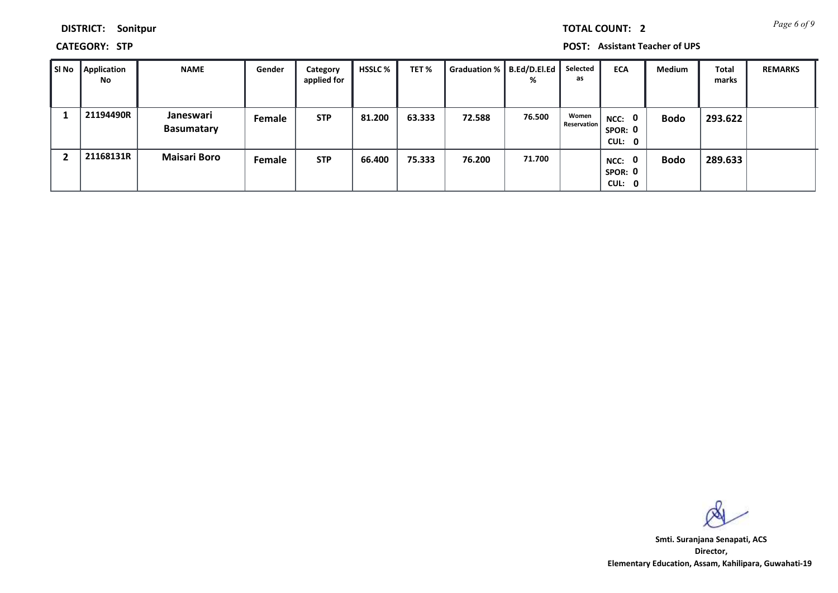**DISTRICT: Sonitpur**

**CATEGORY: STP POST: Assistant Teacher of UPS**

| ∥ SI No | <b>Application</b><br>No | <b>NAME</b>                    | Gender | Category<br>applied for | <b>HSSLC</b> % | TET%   | Graduation %   B.Ed/D.El.Ed | %      | Selected<br>as       | <b>ECA</b>                               | Medium      | <b>Total</b><br>marks | <b>REMARKS</b> |
|---------|--------------------------|--------------------------------|--------|-------------------------|----------------|--------|-----------------------------|--------|----------------------|------------------------------------------|-------------|-----------------------|----------------|
|         | 21194490R                | Janeswari<br><b>Basumatary</b> | Female | <b>STP</b>              | 81.200         | 63.333 | 72.588                      | 76.500 | Women<br>Reservation | NCC: 0<br>SPOR: 0<br>CUL: 0              | <b>Bodo</b> | 293.622               |                |
|         | 21168131R                | <b>Maisari Boro</b>            | Female | <b>STP</b>              | 66.400         | 75.333 | 76.200                      | 71.700 |                      | $\mathbf 0$<br>NCC:<br>SPOR: 0<br>CUL: 0 | <b>Bodo</b> | 289.633               |                |

**Director, Elementary Education, Assam, Kahilipara, Guwahati-19 Smti. Suranjana Senapati, ACS**

*Page 6 of 9* **TOTAL COUNT: 2**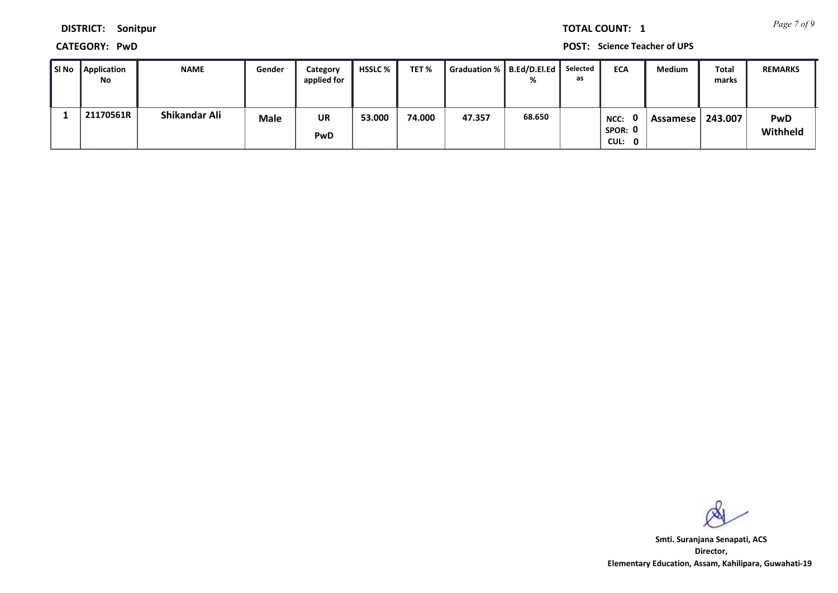*Page 7 of 9* **TOTAL COUNT: 1**

**DISTRICT: Sonitpur**

**CATEGORY: PwD POST: Science Teacher of UPS**

| Sl No | Application<br>No | <b>NAME</b>   | Gender      | Category<br>applied for | <b>HSSLC</b> % | TET %  | Graduation %   B.Ed/D.El.Ed |        | Selected<br>as | <b>ECA</b>                | Medium   | Total<br>marks | <b>REMARKS</b>         |
|-------|-------------------|---------------|-------------|-------------------------|----------------|--------|-----------------------------|--------|----------------|---------------------------|----------|----------------|------------------------|
|       | 21170561R         | Shikandar Ali | <b>Male</b> | <b>UR</b><br>PwD        | 53.000         | 74.000 | 47.357                      | 68.650 |                | NCC:<br>SPOR: 0<br>CUL: 0 | Assamese | 243.007        | <b>PwD</b><br>Withheld |

**Director, Elementary Education, Assam, Kahilipara, Guwahati-19 Smti. Suranjana Senapati, ACS**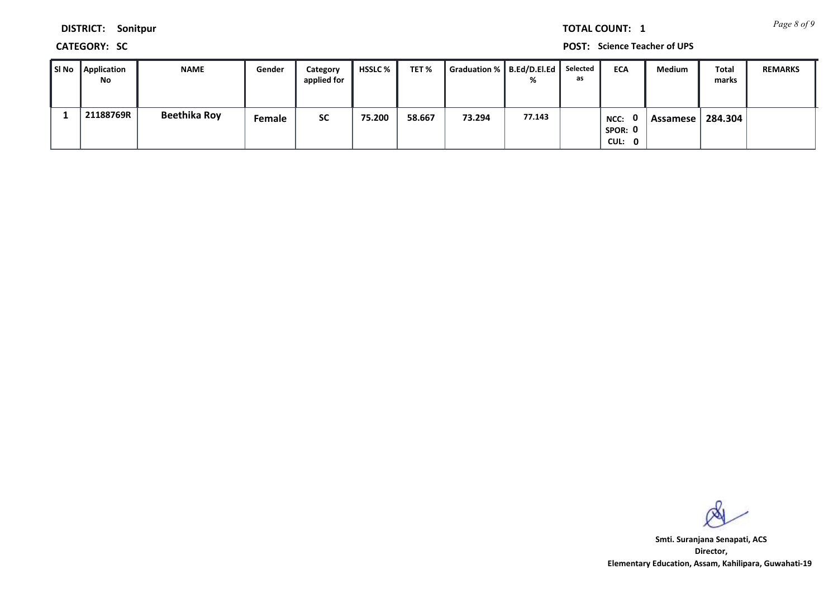*Page 8 of 9* **TOTAL COUNT: 1**

**DISTRICT: Sonitpur**

**CATEGORY: SC POST: Science Teacher of UPS**

| SI No Application<br>No | <b>NAME</b>         | Gender | Category<br>applied for | HSSLC % | TET %  | Graduation %   B.Ed/D.El.Ed | ℅      | Selected<br>as | <b>ECA</b>                | Medium   | Total<br>marks | <b>REMARKS</b> |
|-------------------------|---------------------|--------|-------------------------|---------|--------|-----------------------------|--------|----------------|---------------------------|----------|----------------|----------------|
| 21188769R               | <b>Beethika Roy</b> | Female | <b>SC</b>               | 75.200  | 58.667 | 73.294                      | 77.143 |                | NCC:<br>SPOR: 0<br>CUL: 0 | Assamese | 284.304        |                |

**Director, Elementary Education, Assam, Kahilipara, Guwahati-19 Smti. Suranjana Senapati, ACS**